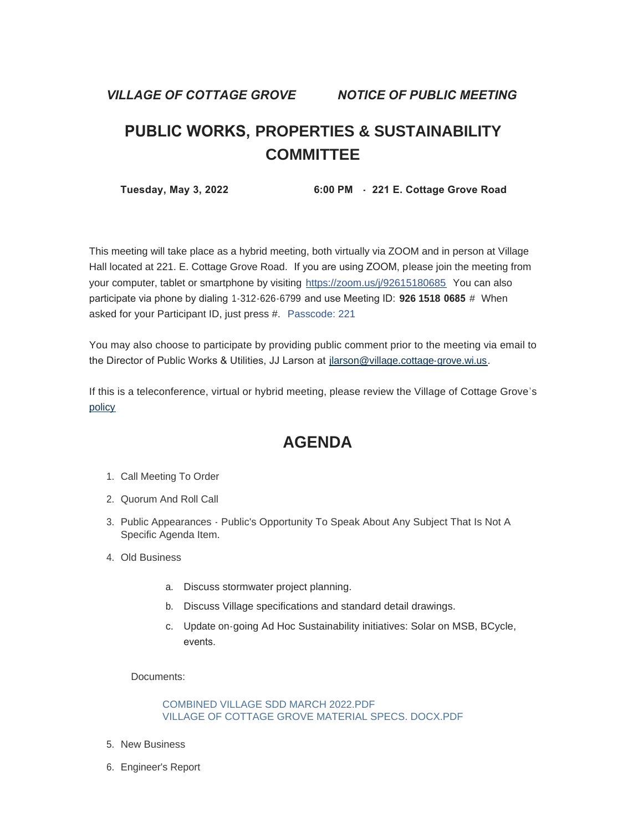*VILLAGE OF COTTAGE GROVE NOTICE OF PUBLIC MEETING*

# **PUBLIC WORKS, PROPERTIES & SUSTAINABILITY COMMITTEE**

 **Tuesday, May 3, 2022 6:00 PM - 221 E. Cottage Grove Road** 

This meeting will take place as a hybrid meeting, both virtually via ZOOM and in person at Village Hall located at 221. E. Cottage Grove Road. If you are using ZOOM, please join the meeting from your computer, tablet or smartphone by visiting <https://zoom.us/j/92615180685> You can also participate via phone by dialing 1-312-626-6799 and use Meeting ID: **926 1518 0685** # When asked for your Participant ID, just press #. Passcode: 221

You may also choose to participate by providing public comment prior to the meeting via email to the Director of Public Works & Utilities, JJ Larson at [jlarson@village.cottage-grove.wi.us](mailto:jlarson@village.cottage-grove.wi.us).

[If this](https://www.vi.cottagegrove.wi.gov/DocumentCenter/View/1850/Virtual-Hybrid-Tele-meeting-Policy-Final) is a teleconference, virtual or hybrid meeting, please review the Village of Cottage Grove's policy

## **AGENDA**

- 1. Call Meeting To Order
- 2. Quorum And Roll Call
- 3. Public Appearances Public's Opportunity To Speak About Any Subject That Is Not A Specific Agenda Item.
- Old Business 4.
	- a. Discuss stormwater project planning.
	- b. Discuss Village specifications and standard detail drawings.
	- c. Update on-going Ad Hoc Sustainability initiatives: Solar on MSB, BCycle, events.

Documents:

[COMBINED VILLAGE SDD MARCH 2022.PDF](https://www.vi.cottagegrove.wi.gov/AgendaCenter/ViewFile/Item/9987?fileID=19621) [VILLAGE OF COTTAGE GROVE MATERIAL SPECS. DOCX.PDF](https://www.vi.cottagegrove.wi.gov/AgendaCenter/ViewFile/Item/9987?fileID=19622)

- 5. New Business
- 6. Engineer's Report